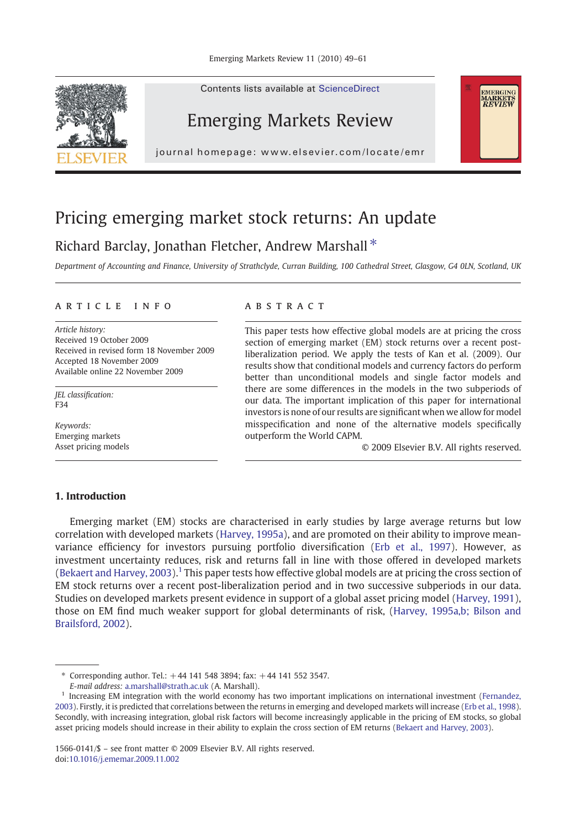

Contents lists available at ScienceDirect

## Emerging Markets Review

journal homepage: www.elsevier.com/locate/emr

## Pricing emerging market stock returns: An update

## Richard Barclay, Jonathan Fletcher, Andrew Marshall  $*$

Department of Accounting and Finance, University of Strathclyde, Curran Building, 100 Cathedral Street, Glasgow, G4 0LN, Scotland, UK

### article info abstract

Article history: Received 19 October 2009 Received in revised form 18 November 2009 Accepted 18 November 2009 Available online 22 November 2009

JEL classification: F34

Keywords: Emerging markets Asset pricing models

This paper tests how effective global models are at pricing the cross section of emerging market (EM) stock returns over a recent postliberalization period. We apply the tests of Kan et al. (2009). Our results show that conditional models and currency factors do perform better than unconditional models and single factor models and there are some differences in the models in the two subperiods of our data. The important implication of this paper for international investors is none of our results are significant when we allow for model misspecification and none of the alternative models specifically outperform the World CAPM.

© 2009 Elsevier B.V. All rights reserved.

EMERGING<br>MARKETS<br>*REVIEW* 

### 1. Introduction

Emerging market (EM) stocks are characterised in early studies by large average returns but low correlation with developed markets ([Harvey, 1995a\)](#page--1-0), and are promoted on their ability to improve meanvariance efficiency for investors pursuing portfolio diversification ([Erb et al., 1997](#page--1-0)). However, as investment uncertainty reduces, risk and returns fall in line with those offered in developed markets ([Bekaert and Harvey, 2003\)](#page--1-0).<sup>1</sup> This paper tests how effective global models are at pricing the cross section of EM stock returns over a recent post-liberalization period and in two successive subperiods in our data. Studies on developed markets present evidence in support of a global asset pricing model ([Harvey, 1991\)](#page--1-0), those on EM find much weaker support for global determinants of risk, [\(Harvey, 1995a,b; Bilson and](#page--1-0) [Brailsford, 2002\)](#page--1-0).

1566-0141/\$ – see front matter © 2009 Elsevier B.V. All rights reserved. doi:[10.1016/j.ememar.2009.11.002](http://dx.doi.org/10.1016/j.ememar.2009.11.002)

<sup>⁎</sup> Corresponding author. Tel.: +44 141 548 3894; fax: +44 141 552 3547.

E-mail address: [a.marshall@strath.ac.uk](mailto:a.marshall@strath.ac.uk) (A. Marshall).

<sup>&</sup>lt;sup>1</sup> Increasing EM integration with the world economy has two important implications on international investment [\(Fernandez,](#page--1-0) [2003\)](#page--1-0). Firstly, it is predicted that correlations between the returns in emerging and developed markets will increase ([Erb et al., 1998\)](#page--1-0). Secondly, with increasing integration, global risk factors will become increasingly applicable in the pricing of EM stocks, so global asset pricing models should increase in their ability to explain the cross section of EM returns [\(Bekaert and Harvey, 2003\)](#page--1-0).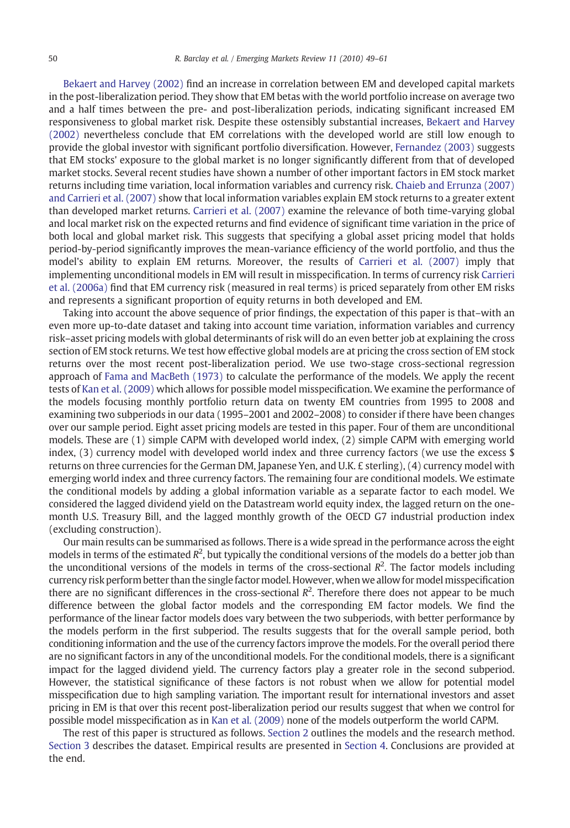[Bekaert and Harvey \(2002\)](#page--1-0) find an increase in correlation between EM and developed capital markets in the post-liberalization period. They show that EM betas with the world portfolio increase on average two and a half times between the pre- and post-liberalization periods, indicating significant increased EM responsiveness to global market risk. Despite these ostensibly substantial increases, [Bekaert and Harvey](#page--1-0) [\(2002\)](#page--1-0) nevertheless conclude that EM correlations with the developed world are still low enough to provide the global investor with significant portfolio diversification. However, [Fernandez \(2003\)](#page--1-0) suggests that EM stocks' exposure to the global market is no longer significantly different from that of developed market stocks. Several recent studies have shown a number of other important factors in EM stock market returns including time variation, local information variables and currency risk. [Chaieb and Errunza \(2007\)](#page--1-0) [and Carrieri et al. \(2007\)](#page--1-0) show that local information variables explain EM stock returns to a greater extent than developed market returns. [Carrieri et al. \(2007\)](#page--1-0) examine the relevance of both time-varying global and local market risk on the expected returns and find evidence of significant time variation in the price of both local and global market risk. This suggests that specifying a global asset pricing model that holds period-by-period significantly improves the mean-variance efficiency of the world portfolio, and thus the model's ability to explain EM returns. Moreover, the results of [Carrieri et al. \(2007\)](#page--1-0) imply that implementing unconditional models in EM will result in misspecification. In terms of currency risk [Carrieri](#page--1-0) [et al. \(2006a\)](#page--1-0) find that EM currency risk (measured in real terms) is priced separately from other EM risks and represents a significant proportion of equity returns in both developed and EM.

Taking into account the above sequence of prior findings, the expectation of this paper is that–with an even more up-to-date dataset and taking into account time variation, information variables and currency risk–asset pricing models with global determinants of risk will do an even better job at explaining the cross section of EM stock returns. We test how effective global models are at pricing the cross section of EM stock returns over the most recent post-liberalization period. We use two-stage cross-sectional regression approach of [Fama and MacBeth \(1973\)](#page--1-0) to calculate the performance of the models. We apply the recent tests of [Kan et al. \(2009\)](#page--1-0) which allows for possible model misspecification. We examine the performance of the models focusing monthly portfolio return data on twenty EM countries from 1995 to 2008 and examining two subperiods in our data (1995–2001 and 2002–2008) to consider if there have been changes over our sample period. Eight asset pricing models are tested in this paper. Four of them are unconditional models. These are (1) simple CAPM with developed world index, (2) simple CAPM with emerging world index,  $(3)$  currency model with developed world index and three currency factors (we use the excess \$ returns on three currencies for the German DM, Japanese Yen, and U.K. £ sterling), (4) currency model with emerging world index and three currency factors. The remaining four are conditional models. We estimate the conditional models by adding a global information variable as a separate factor to each model. We considered the lagged dividend yield on the Datastream world equity index, the lagged return on the onemonth U.S. Treasury Bill, and the lagged monthly growth of the OECD G7 industrial production index (excluding construction).

Our main results can be summarised as follows. There is a wide spread in the performance across the eight models in terms of the estimated  $R^2$ , but typically the conditional versions of the models do a better job than the unconditional versions of the models in terms of the cross-sectional  $R<sup>2</sup>$ . The factor models including currency risk perform better than the single factor model. However, when we allow for model misspecification there are no significant differences in the cross-sectional  $R<sup>2</sup>$ . Therefore there does not appear to be much difference between the global factor models and the corresponding EM factor models. We find the performance of the linear factor models does vary between the two subperiods, with better performance by the models perform in the first subperiod. The results suggests that for the overall sample period, both conditioning information and the use of the currency factors improve the models. For the overall period there are no significant factors in any of the unconditional models. For the conditional models, there is a significant impact for the lagged dividend yield. The currency factors play a greater role in the second subperiod. However, the statistical significance of these factors is not robust when we allow for potential model misspecification due to high sampling variation. The important result for international investors and asset pricing in EM is that over this recent post-liberalization period our results suggest that when we control for possible model misspecification as in [Kan et al. \(2009\)](#page--1-0) none of the models outperform the world CAPM.

The rest of this paper is structured as follows. [Section 2](#page--1-0) outlines the models and the research method. [Section 3](#page--1-0) describes the dataset. Empirical results are presented in [Section 4.](#page--1-0) Conclusions are provided at the end.